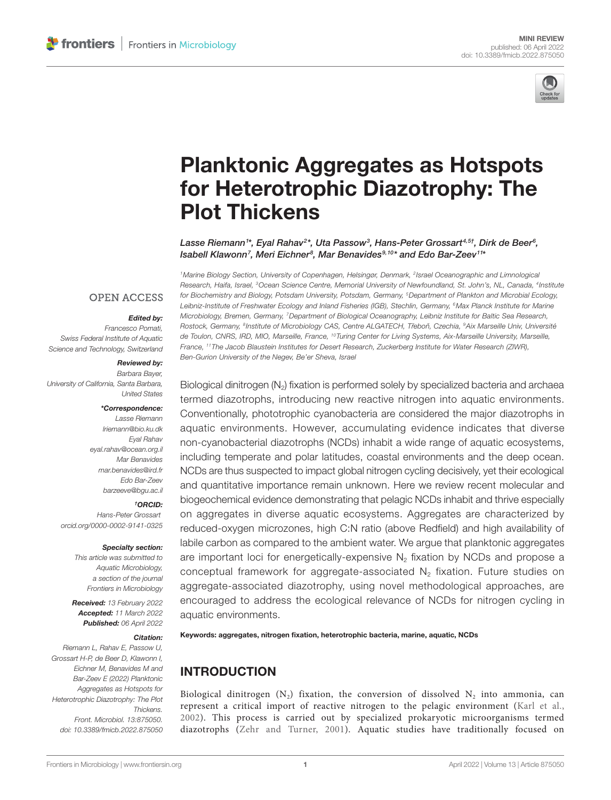

# [Planktonic Aggregates as Hotspots](https://www.frontiersin.org/articles/10.3389/fmicb.2022.875050/full)  [for Heterotrophic Diazotrophy: The](https://www.frontiersin.org/articles/10.3389/fmicb.2022.875050/full)  [Plot Thickens](https://www.frontiersin.org/articles/10.3389/fmicb.2022.875050/full)

Lasse Riemann1\*, Eyal Rahav<sup>2</sup>\*, Uta Passow<sup>3</sup>, Hans-Peter Grossart<sup>4,5†</sup>, Dirk de Beer<sup>6</sup>, *Isabell Klawonn7 , Meri Eichner8 , Mar Benavides9,10\* and Edo Bar-Zeev11\**

### **OPEN ACCESS**

### *Edited by:*

*Francesco Pomati, Swiss Federal Institute of Aquatic Science and Technology, Switzerland*

### *Reviewed by:*

*Barbara Bayer, University of California, Santa Barbara, United States*

#### *\*Correspondence:*

*Lasse Riemann [lriemann@bio.ku.dk](mailto:lriemann@bio.ku.dk) Eyal Rahav [eyal.rahav@ocean.org.il](mailto:eyal.rahav@ocean.org.il) Mar Benavides [mar.benavides@ird.fr](mailto:mar.benavides@ird.fr) Edo Bar-Zeev [barzeeve@bgu.ac.il](mailto:barzeeve@bgu.ac.il)*

#### *† ORCID:*

*Hans-Peter Grossart [orcid.org/0000-0002-9141-0325](https://orcid.org/0000-0002-9141-0325)*

#### *Specialty section:*

*This article was submitted to Aquatic Microbiology, a section of the journal Frontiers in Microbiology*

*Received: 13 February 2022 Accepted: 11 March 2022 Published: 06 April 2022*

#### *Citation:*

*Riemann L, Rahav E, Passow U, Grossart H-P, de Beer D, Klawonn I, Eichner M, Benavides M and Bar-Zeev E (2022) Planktonic Aggregates as Hotspots for Heterotrophic Diazotrophy: The Plot Thickens. Front. Microbiol. 13:875050. [doi: 10.3389/fmicb.2022.875050](https://doi.org/10.3389/fmicb.2022.875050)* *1Marine Biology Section, University of Copenhagen, Helsingør, Denmark, 2Israel Oceanographic and Limnological Research, Haifa, Israel, 3Ocean Science Centre, Memorial University of Newfoundland, St. John's, NL, Canada, 4Institute for Biochemistry and Biology, Potsdam University, Potsdam, Germany, 5Department of Plankton and Microbial Ecology, Leibniz-Institute of Freshwater Ecology and Inland Fisheries (IGB), Stechlin, Germany, 6Max Planck Institute for Marine Microbiology, Bremen, Germany, 7Department of Biological Oceanography, Leibniz Institute for Baltic Sea Research, Rostock, Germany, 8Institute of Microbiology CAS, Centre ALGATECH, Trˇebonˇ , Czechia, 9Aix Marseille Univ, Université de Toulon, CNRS, IRD, MIO, Marseille, France, 10Turing Center for Living Systems, Aix-Marseille University, Marseille, France, 11The Jacob Blaustein Institutes for Desert Research, Zuckerberg Institute for Water Research (ZIWR), Ben-Gurion University of the Negev, Be'er Sheva, Israel*

Biological dinitrogen  $(N_2)$  fixation is performed solely by specialized bacteria and archaea termed diazotrophs, introducing new reactive nitrogen into aquatic environments. Conventionally, phototrophic cyanobacteria are considered the major diazotrophs in aquatic environments. However, accumulating evidence indicates that diverse non-cyanobacterial diazotrophs (NCDs) inhabit a wide range of aquatic ecosystems, including temperate and polar latitudes, coastal environments and the deep ocean. NCDs are thus suspected to impact global nitrogen cycling decisively, yet their ecological and quantitative importance remain unknown. Here we review recent molecular and biogeochemical evidence demonstrating that pelagic NCDs inhabit and thrive especially on aggregates in diverse aquatic ecosystems. Aggregates are characterized by reduced-oxygen microzones, high C:N ratio (above Redfield) and high availability of labile carbon as compared to the ambient water. We argue that planktonic aggregates are important loci for energetically-expensive  $N<sub>2</sub>$  fixation by NCDs and propose a conceptual framework for aggregate-associated  $N<sub>2</sub>$  fixation. Future studies on aggregate-associated diazotrophy, using novel methodological approaches, are encouraged to address the ecological relevance of NCDs for nitrogen cycling in aquatic environments.

Keywords: aggregates, nitrogen fixation, heterotrophic bacteria, marine, aquatic, NCDs

# INTRODUCTION

Biological dinitrogen ( $N_2$ ) fixation, the conversion of dissolved  $N_2$  into ammonia, can represent a critical import of reactive nitrogen to the pelagic environment ([Karl et al.,](#page-7-0)  [2002\)](#page-7-0). This process is carried out by specialized prokaryotic microorganisms termed diazotrophs [\(Zehr and Turner, 2001](#page-8-0)). Aquatic studies have traditionally focused on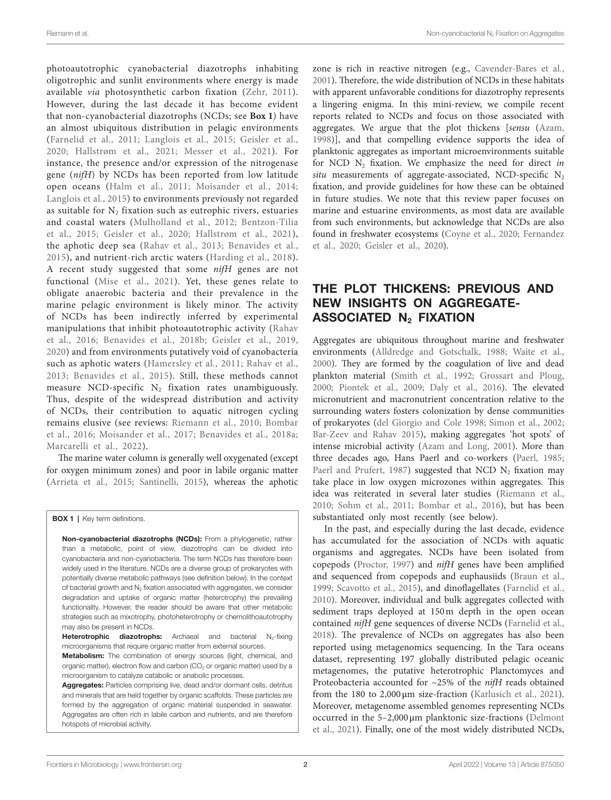photoautotrophic cyanobacterial diazotrophs inhabiting oligotrophic and sunlit environments where energy is made available *via* photosynthetic carbon fixation ([Zehr, 2011\)](#page-8-1). However, during the last decade it has become evident that non-cyanobacterial diazotrophs (NCDs; see **[Box 1](#page-1-0)**) have an almost ubiquitous distribution in pelagic environments ([Farnelid et al., 2011](#page-6-0); [Langlois et al., 2015](#page-7-1); [Geisler et al.,](#page-7-2)  [2020;](#page-7-2) [Hallstrøm et al., 2021;](#page-7-3) [Messer et al., 2021\)](#page-7-4). For instance, the presence and/or expression of the nitrogenase gene (*nifH*) by NCDs has been reported from low latitude open oceans ([Halm et al., 2011](#page-7-5); [Moisander et al., 2014](#page-7-6); [Langlois et al., 2015\)](#page-7-1) to environments previously not regarded as suitable for  $N<sub>2</sub>$  fixation such as eutrophic rivers, estuaries and coastal waters ([Mulholland et al., 2012;](#page-7-7) [Bentzon-Tilia](#page-6-1)  [et al., 2015;](#page-6-1) [Geisler et al., 2020](#page-7-2); [Hallstrøm et al., 2021\)](#page-7-3), the aphotic deep sea ([Rahav et al., 2013;](#page-8-2) [Benavides et al.,](#page-6-2)  [2015\)](#page-6-2), and nutrient-rich arctic waters [\(Harding et al., 2018\)](#page-7-8). A recent study suggested that some *nifH* genes are not functional (Mise et al., 2021). Yet, these genes relate to obligate anaerobic bacteria and their prevalence in the marine pelagic environment is likely minor. The activity of NCDs has been indirectly inferred by experimental manipulations that inhibit photoautotrophic activity ([Rahav](#page-8-3)  [et al., 2016;](#page-8-3) [Benavides et al., 2018b;](#page-6-3) [Geisler et al., 2019](#page-7-10), [2020](#page-7-2)) and from environments putatively void of cyanobacteria such as aphotic waters ([Hamersley et al., 2011;](#page-7-11) [Rahav et al.,](#page-8-2)  [2013;](#page-8-2) [Benavides et al., 2015\)](#page-6-2). Still, these methods cannot measure NCD-specific  $N_2$  fixation rates unambiguously. Thus, despite of the widespread distribution and activity of NCDs, their contribution to aquatic nitrogen cycling remains elusive (see reviews: [Riemann et al., 2010;](#page-8-4) [Bombar](#page-6-4)  [et al., 2016;](#page-6-4) [Moisander et al., 2017;](#page-7-12) [Benavides et al., 2018a](#page-6-5); [Marcarelli et al., 2022\)](#page-7-13).

The marine water column is generally well oxygenated (except for oxygen minimum zones) and poor in labile organic matter ([Arrieta et al., 2015;](#page-6-6) [Santinelli, 2015\)](#page-8-5), whereas the aphotic

**BOX 1** | Key term definitions.

Non-cyanobacterial diazotrophs (NCDs): From a phylogenetic, rather than a metabolic, point of view, diazotrophs can be divided into cyanobacteria and non-cyanobacteria. The term NCDs has therefore been widely used in the literature. NCDs are a diverse group of prokaryotes with potentially diverse metabolic pathways (see definition below). In the context of bacterial growth and  $N_2$  fixation associated with aggregates, we consider degradation and uptake of organic matter (heterotrophy) the prevailing functionality. However, the reader should be aware that other metabolic strategies such as mixotrophy, photoheterotrophy or chemolithoautotrophy may also be present in NCDs.

Heterotrophic diazotrophs: Archaeal and bacterial N<sub>2</sub>-fixing microorganisms that require organic matter from external sources.

Metabolism: The combination of energy sources (light, chemical, and organic matter), electron flow and carbon  $(CO<sub>2</sub>)$  or organic matter) used by a microorganism to catalyze catabolic or anabolic processes.

Aggregates: Particles comprising live, dead and/or dormant cells, detritus and minerals that are held together by organic scaffolds. These particles are formed by the aggregation of organic material suspended in seawater. Aggregates are often rich in labile carbon and nutrients, and are therefore hotspots of microbial activity.

zone is rich in reactive nitrogen (e.g., [Cavender-Bares et al.,](#page-6-7)  [2001\)](#page-6-7). Therefore, the wide distribution of NCDs in these habitats with apparent unfavorable conditions for diazotrophy represents a lingering enigma. In this mini-review, we compile recent reports related to NCDs and focus on those associated with aggregates. We argue that the plot thickens [*sensu* [\(Azam,](#page-6-8)  [1998\)](#page-6-8)], and that compelling evidence supports the idea of planktonic aggregates as important microenvironments suitable for NCD  $N_2$  fixation. We emphasize the need for direct *in*  $situ$  measurements of aggregate-associated, NCD-specific  $N_2$ fixation, and provide guidelines for how these can be obtained in future studies. We note that this review paper focuses on marine and estuarine environments, as most data are available from such environments, but acknowledge that NCDs are also found in freshwater ecosystems ([Coyne et al., 2020](#page-6-9); [Fernandez](#page-6-10)  [et al., 2020](#page-6-10); [Geisler et al., 2020\)](#page-7-2).

# <span id="page-1-0"></span>THE PLOT THICKENS: PREVIOUS AND NEW INSIGHTS ON AGGREGATE-ASSOCIATED N<sub>2</sub> FIXATION

Aggregates are ubiquitous throughout marine and freshwater environments ([Alldredge and Gotschalk, 1988](#page-6-11); [Waite et al.,](#page-8-6)  [2000\)](#page-8-6). They are formed by the coagulation of live and dead plankton material ([Smith et al., 1992](#page-8-7); [Grossart and Ploug,](#page-7-14)  [2000;](#page-7-14) [Piontek et al., 2009](#page-8-8); [Daly et al., 2016\)](#page-6-12). The elevated micronutrient and macronutrient concentration relative to the surrounding waters fosters colonization by dense communities of prokaryotes [\(del Giorgio and Cole 1998;](#page-6-13) [Simon et al., 2002;](#page-8-9) [Bar-Zeev and Rahav 2015\)](#page-6-14), making aggregates 'hot spots' of intense microbial activity ([Azam and Long, 2001](#page-6-15)). More than three decades ago, Hans Paerl and co-workers [\(Paerl, 1985;](#page-8-10) [Paerl and Prufert, 1987](#page-8-11)) suggested that NCD  $N_2$  fixation may take place in low oxygen microzones within aggregates. This idea was reiterated in several later studies [\(Riemann et al.,](#page-8-4)  [2010;](#page-8-4) [Sohm et al., 2011](#page-8-12); [Bombar et al., 2016\)](#page-6-4), but has been substantiated only most recently (see below).

In the past, and especially during the last decade, evidence has accumulated for the association of NCDs with aquatic organisms and aggregates. NCDs have been isolated from copepods [\(Proctor, 1997](#page-8-13)) and *nifH* genes have been amplified and sequenced from copepods and euphausiids ([Braun et al.,](#page-6-16)  [1999;](#page-6-16) [Scavotto et al., 2015\)](#page-8-14), and dinoflagellates ([Farnelid et al.,](#page-6-17)  [2010\)](#page-6-17). Moreover, individual and bulk aggregates collected with sediment traps deployed at 150m depth in the open ocean contained *nifH* gene sequences of diverse NCDs [\(Farnelid et al.,](#page-6-18)  [2018\)](#page-6-18). The prevalence of NCDs on aggregates has also been reported using metagenomics sequencing. In the Tara oceans dataset, representing 197 globally distributed pelagic oceanic metagenomes, the putative heterotrophic Planctomyces and Proteobacteria accounted for ~25% of the *nifH* reads obtained from the 180 to 2,000μm size-fraction [\(Karlusich et al., 2021](#page-7-15)). Moreover, metagenome assembled genomes representing NCDs occurred in the 5–2,000μm planktonic size-fractions [\(Delmont](#page-6-19)  [et al., 2021](#page-6-19)). Finally, one of the most widely distributed NCDs,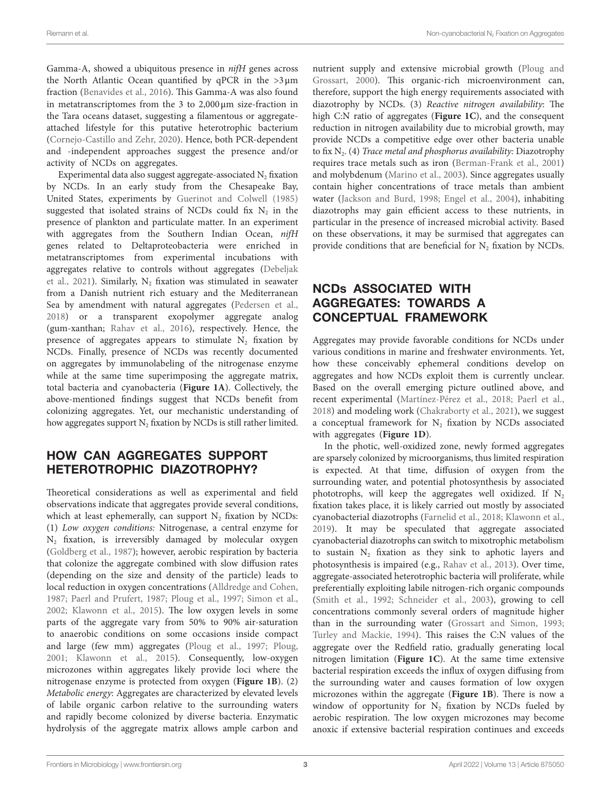Gamma-A, showed a ubiquitous presence in *nifH* genes across the North Atlantic Ocean quantified by qPCR in the >3μm fraction [\(Benavides et al., 2016\)](#page-6-20). This Gamma-A was also found in metatranscriptomes from the 3 to 2,000μm size-fraction in the Tara oceans dataset, suggesting a filamentous or aggregateattached lifestyle for this putative heterotrophic bacterium ([Cornejo-Castillo and Zehr, 2020\)](#page-6-21). Hence, both PCR-dependent and -independent approaches suggest the presence and/or activity of NCDs on aggregates.

Experimental data also suggest aggregate-associated N<sub>2</sub> fixation by NCDs. In an early study from the Chesapeake Bay, United States, experiments by [Guerinot and Colwell \(1985\)](#page-7-16) suggested that isolated strains of NCDs could fix  $N_2$  in the presence of plankton and particulate matter. In an experiment with aggregates from the Southern Indian Ocean, *nifH* genes related to Deltaproteobacteria were enriched in metatranscriptomes from experimental incubations with aggregates relative to controls without aggregates ([Debeljak](#page-6-22)  et al., 2021). Similarly,  $N_2$  fixation was stimulated in seawater from a Danish nutrient rich estuary and the Mediterranean Sea by amendment with natural aggregates ([Pedersen et al.,](#page-8-15)  [2018\)](#page-8-15) or a transparent exopolymer aggregate analog (gum-xanthan; [Rahav et al., 2016](#page-8-3)), respectively. Hence, the presence of aggregates appears to stimulate  $N_2$  fixation by NCDs. Finally, presence of NCDs was recently documented on aggregates by immunolabeling of the nitrogenase enzyme while at the same time superimposing the aggregate matrix, total bacteria and cyanobacteria (**[Figure 1A](#page-3-0)**). Collectively, the above-mentioned findings suggest that NCDs benefit from colonizing aggregates. Yet, our mechanistic understanding of how aggregates support  $N_2$  fixation by NCDs is still rather limited.

# HOW CAN AGGREGATES SUPPORT HETEROTROPHIC DIAZOTROPHY?

Theoretical considerations as well as experimental and field observations indicate that aggregates provide several conditions, which at least ephemerally, can support  $N_2$  fixation by NCDs: (1) *Low oxygen conditions:* Nitrogenase, a central enzyme for  $N_2$  fixation, is irreversibly damaged by molecular oxygen ([Goldberg et al., 1987](#page-7-17)); however, aerobic respiration by bacteria that colonize the aggregate combined with slow diffusion rates (depending on the size and density of the particle) leads to local reduction in oxygen concentrations ([Alldredge and Cohen,](#page-6-23)  [1987;](#page-6-23) [Paerl and Prufert, 1987;](#page-8-11) [Ploug et al., 1997](#page-8-16); [Simon et al.,](#page-8-9)  [2002;](#page-8-9) [Klawonn et al., 2015](#page-7-18)). The low oxygen levels in some parts of the aggregate vary from 50% to 90% air-saturation to anaerobic conditions on some occasions inside compact and large (few mm) aggregates ([Ploug et al., 1997;](#page-8-16) [Ploug,](#page-8-17)  [2001;](#page-8-17) [Klawonn et al., 2015](#page-7-18)). Consequently, low-oxygen microzones within aggregates likely provide loci where the nitrogenase enzyme is protected from oxygen (**[Figure 1B](#page-3-0)**). (2) *Metabolic energy*: Aggregates are characterized by elevated levels of labile organic carbon relative to the surrounding waters and rapidly become colonized by diverse bacteria. Enzymatic hydrolysis of the aggregate matrix allows ample carbon and nutrient supply and extensive microbial growth [\(Ploug and](#page-8-18)  [Grossart, 2000\)](#page-8-18). This organic-rich microenvironment can, therefore, support the high energy requirements associated with diazotrophy by NCDs. (3) *Reactive nitrogen availability*: The high C:N ratio of aggregates (**[Figure 1C](#page-3-0)**), and the consequent reduction in nitrogen availability due to microbial growth, may provide NCDs a competitive edge over other bacteria unable to fix N2. (4) *Trace metal and phosphorus availability:* Diazotrophy requires trace metals such as iron ([Berman-Frank et al., 2001\)](#page-6-24) and molybdenum [\(Marino et al., 2003\)](#page-7-19). Since aggregates usually contain higher concentrations of trace metals than ambient water ([Jackson and Burd, 1998;](#page-7-20) [Engel et al., 2004\)](#page-6-25), inhabiting diazotrophs may gain efficient access to these nutrients, in particular in the presence of increased microbial activity. Based on these observations, it may be surmised that aggregates can provide conditions that are beneficial for N<sub>2</sub> fixation by NCDs.

# NCDs ASSOCIATED WITH AGGREGATES: TOWARDS A CONCEPTUAL FRAMEWORK

Aggregates may provide favorable conditions for NCDs under various conditions in marine and freshwater environments. Yet, how these conceivably ephemeral conditions develop on aggregates and how NCDs exploit them is currently unclear. Based on the overall emerging picture outlined above, and recent experimental [\(Martínez-Pérez et al., 2018;](#page-7-21) [Paerl et al.,](#page-8-19)  [2018\)](#page-8-19) and modeling work [\(Chakraborty et al., 2021](#page-6-26)), we suggest a conceptual framework for  $N_2$  fixation by NCDs associated with aggregates (**[Figure 1D](#page-3-0)**).

In the photic, well-oxidized zone, newly formed aggregates are sparsely colonized by microorganisms, thus limited respiration is expected. At that time, diffusion of oxygen from the surrounding water, and potential photosynthesis by associated phototrophs, will keep the aggregates well oxidized. If  $N_2$ fixation takes place, it is likely carried out mostly by associated cyanobacterial diazotrophs [\(Farnelid et al., 2018](#page-6-18); [Klawonn et al.,](#page-7-22)  [2019\)](#page-7-22). It may be speculated that aggregate associated cyanobacterial diazotrophs can switch to mixotrophic metabolism to sustain  $N_2$  fixation as they sink to aphotic layers and photosynthesis is impaired (e.g., [Rahav et al., 2013](#page-8-2)). Over time, aggregate-associated heterotrophic bacteria will proliferate, while preferentially exploiting labile nitrogen-rich organic compounds [\(Smith et al., 1992;](#page-8-7) [Schneider et al., 2003\)](#page-8-20), growing to cell concentrations commonly several orders of magnitude higher than in the surrounding water [\(Grossart and Simon, 1993;](#page-7-23) [Turley and Mackie, 1994\)](#page-8-21). This raises the C:N values of the aggregate over the Redfield ratio, gradually generating local nitrogen limitation (**[Figure 1C](#page-3-0)**). At the same time extensive bacterial respiration exceeds the influx of oxygen diffusing from the surrounding water and causes formation of low oxygen microzones within the aggregate (**[Figure 1B](#page-3-0)**). There is now a window of opportunity for N<sub>2</sub> fixation by NCDs fueled by aerobic respiration. The low oxygen microzones may become anoxic if extensive bacterial respiration continues and exceeds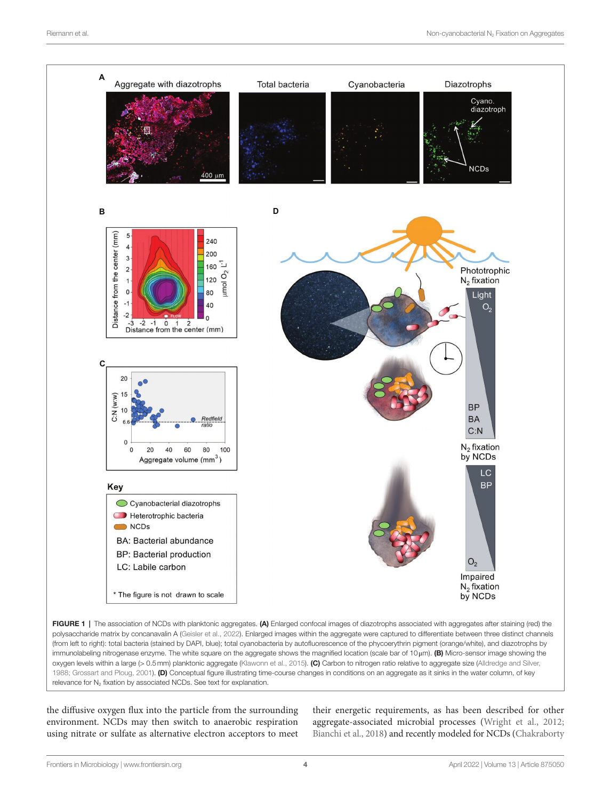<span id="page-3-0"></span>

FIGURE 1 | The association of NCDs with planktonic aggregates. (A) Enlarged confocal images of diazotrophs associated with aggregates after staining (red) the polysaccharide matrix by concanavalin A [\(Geisler et al., 2022\)](#page-7-24). Enlarged images within the aggregate were captured to differentiate between three distinct channels (from left to right): total bacteria (stained by DAPI, blue); total cyanobacteria by autofluorescence of the phycoerythrin pigment (orange/white), and diazotrophs by immunolabeling nitrogenase enzyme. The white square on the aggregate shows the magnified location (scale bar of 10μm). (B) Micro-sensor image showing the oxygen levels within a large (> 0.5mm) planktonic aggregate [\(Klawonn et al., 2015](#page-7-18)). (C) Carbon to nitrogen ratio relative to aggregate size (Alldredge and Silver, [1988;](#page-6-28) [Grossart and Ploug, 2001](#page-7-25)). (D) Conceptual figure illustrating time-course changes in conditions on an aggregate as it sinks in the water column, of key relevance for  $N_2$  fixation by associated NCDs. See text for explanation.

the diffusive oxygen flux into the particle from the surrounding environment. NCDs may then switch to anaerobic respiration using nitrate or sulfate as alternative electron acceptors to meet their energetic requirements, as has been described for other aggregate-associated microbial processes [\(Wright et al., 2012;](#page-8-22) [Bianchi et al., 2018](#page-6-27)) and recently modeled for NCDs [\(Chakraborty](#page-6-26)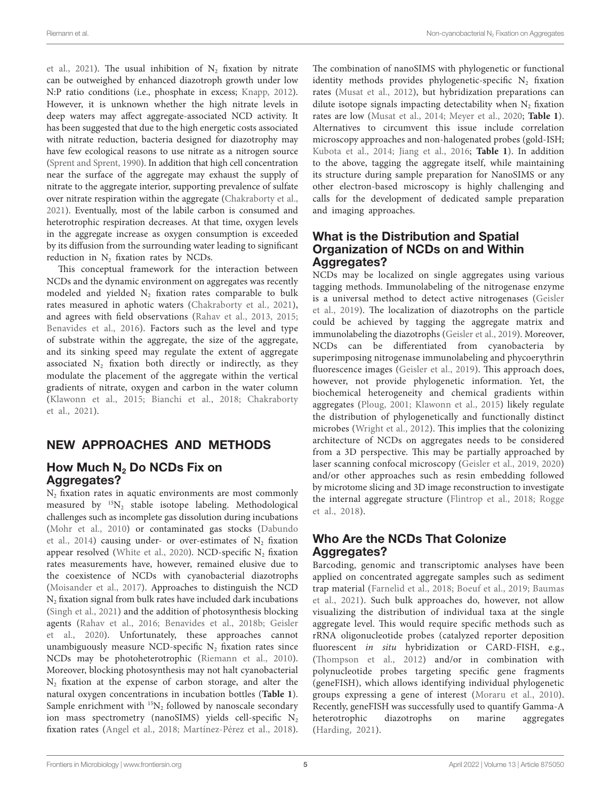et al., 2021). The usual inhibition of  $N_2$  fixation by nitrate can be outweighed by enhanced diazotroph growth under low N:P ratio conditions (i.e., phosphate in excess; [Knapp, 2012](#page-7-26)). However, it is unknown whether the high nitrate levels in deep waters may affect aggregate-associated NCD activity. It has been suggested that due to the high energetic costs associated with nitrate reduction, bacteria designed for diazotrophy may have few ecological reasons to use nitrate as a nitrogen source ([Sprent and Sprent, 1990](#page-8-23)). In addition that high cell concentration near the surface of the aggregate may exhaust the supply of nitrate to the aggregate interior, supporting prevalence of sulfate over nitrate respiration within the aggregate [\(Chakraborty et al.,](#page-6-26)  [2021\)](#page-6-26). Eventually, most of the labile carbon is consumed and heterotrophic respiration decreases. At that time, oxygen levels in the aggregate increase as oxygen consumption is exceeded by its diffusion from the surrounding water leading to significant reduction in  $N_2$  fixation rates by NCDs.

This conceptual framework for the interaction between NCDs and the dynamic environment on aggregates was recently modeled and yielded  $N_2$  fixation rates comparable to bulk rates measured in aphotic waters [\(Chakraborty et al., 2021](#page-6-26)), and agrees with field observations ([Rahav et al., 2013,](#page-8-2) [2015](#page-8-24); [Benavides et al., 2016](#page-6-20)). Factors such as the level and type of substrate within the aggregate, the size of the aggregate, and its sinking speed may regulate the extent of aggregate associated  $N_2$  fixation both directly or indirectly, as they modulate the placement of the aggregate within the vertical gradients of nitrate, oxygen and carbon in the water column ([Klawonn et al., 2015](#page-7-18); [Bianchi et al., 2018;](#page-6-27) [Chakraborty](#page-6-26)  [et al., 2021](#page-6-26)).

# NEW APPROACHES AND METHODS

# How Much  $N_2$  Do NCDs Fix on Aggregates?

 $N<sub>2</sub>$  fixation rates in aquatic environments are most commonly measured by  ${}^{15}N_2$  stable isotope labeling. Methodological challenges such as incomplete gas dissolution during incubations (Mohr et al., 2010) or contaminated gas stocks (Dabundo et al., 2014) causing under- or over-estimates of  $N_2$  fixation appear resolved (White et al., 2020). NCD-specific  $N_2$  fixation rates measurements have, however, remained elusive due to the coexistence of NCDs with cyanobacterial diazotrophs ([Moisander et al., 2017\)](#page-7-12). Approaches to distinguish the NCD  $N<sub>2</sub>$  fixation signal from bulk rates have included dark incubations ([Singh et al., 2021\)](#page-8-26) and the addition of photosynthesis blocking agents ([Rahav et al., 2016;](#page-8-3) [Benavides et al., 2018b](#page-6-3); [Geisler](#page-7-2)  [et al., 2020](#page-7-2)). Unfortunately, these approaches cannot unambiguously measure NCD-specific  $N_2$  fixation rates since NCDs may be photoheterotrophic ([Riemann et al., 2010](#page-8-4)). Moreover, blocking photosynthesis may not halt cyanobacterial N<sub>2</sub> fixation at the expense of carbon storage, and alter the natural oxygen concentrations in incubation bottles (**[Table 1](#page-5-0)**). Sample enrichment with  ${}^{15}N_2$  followed by nanoscale secondary ion mass spectrometry (nanoSIMS) yields cell-specific  $N_2$ fixation rates [\(Angel et al., 2018;](#page-6-30) [Martínez-Pérez et al., 2018](#page-7-21)). The combination of nanoSIMS with phylogenetic or functional identity methods provides phylogenetic-specific  $N_2$  fixation rates [\(Musat et al., 2012](#page-7-28)), but hybridization preparations can dilute isotope signals impacting detectability when  $N_2$  fixation rates are low ([Musat et al., 2014](#page-7-29); [Meyer et al., 2020](#page-7-30); **[Table 1](#page-5-0)**). Alternatives to circumvent this issue include correlation microscopy approaches and non-halogenated probes (gold-ISH; [Kubota et al., 2014](#page-7-31); [Jiang et al., 2016;](#page-7-32) **[Table 1](#page-5-0)**). In addition to the above, tagging the aggregate itself, while maintaining its structure during sample preparation for NanoSIMS or any other electron-based microscopy is highly challenging and calls for the development of dedicated sample preparation and imaging approaches.

### What is the Distribution and Spatial Organization of NCDs on and Within Aggregates?

NCDs may be localized on single aggregates using various tagging methods. Immunolabeling of the nitrogenase enzyme is a universal method to detect active nitrogenases ([Geisler](#page-7-10)  [et al., 2019](#page-7-10)). The localization of diazotrophs on the particle could be achieved by tagging the aggregate matrix and immunolabeling the diazotrophs [\(Geisler et al., 2019\)](#page-7-10). Moreover, NCDs can be differentiated from cyanobacteria by superimposing nitrogenase immunolabeling and phycoerythrin fluorescence images ([Geisler et al., 2019\)](#page-7-10). This approach does, however, not provide phylogenetic information. Yet, the biochemical heterogeneity and chemical gradients within aggregates ([Ploug, 2001;](#page-8-17) [Klawonn et al., 2015\)](#page-7-18) likely regulate the distribution of phylogenetically and functionally distinct microbes [\(Wright et al., 2012\)](#page-8-22). This implies that the colonizing architecture of NCDs on aggregates needs to be considered from a 3D perspective. This may be partially approached by laser scanning confocal microscopy [\(Geisler et al., 2019](#page-7-10), [2020\)](#page-7-2) and/or other approaches such as resin embedding followed by microtome slicing and 3D image reconstruction to investigate the internal aggregate structure ([Flintrop et al., 2018;](#page-7-33) [Rogge](#page-8-27)  [et al., 2018\)](#page-8-27).

# Who Are the NCDs That Colonize Aggregates?

Barcoding, genomic and transcriptomic analyses have been applied on concentrated aggregate samples such as sediment trap material ([Farnelid et al., 2018](#page-6-18); [Boeuf et al., 2019](#page-6-31); [Baumas](#page-6-32)  [et al., 2021](#page-6-32)). Such bulk approaches do, however, not allow visualizing the distribution of individual taxa at the single aggregate level. This would require specific methods such as rRNA oligonucleotide probes (catalyzed reporter deposition fluorescent *in situ* hybridization or CARD-FISH, e.g., [\(Thompson et al., 2012](#page-8-28)) and/or in combination with polynucleotide probes targeting specific gene fragments (geneFISH), which allows identifying individual phylogenetic groups expressing a gene of interest [\(Moraru et al., 2010](#page-7-34)). Recently, geneFISH was successfully used to quantify Gamma-A heterotrophic diazotrophs on marine aggregates [\(Harding, 2021](#page-7-35)).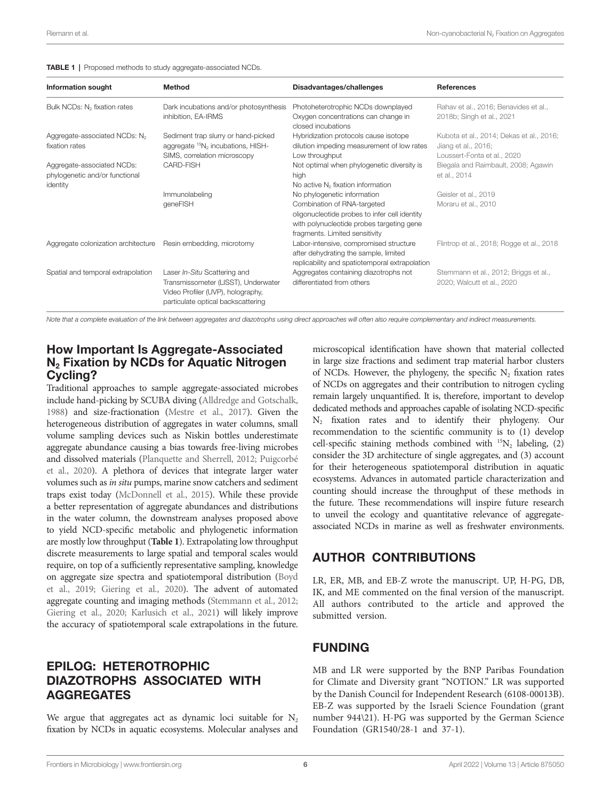<span id="page-5-0"></span>

|  | <b>TABLE 1</b>   Proposed methods to study aggregate-associated NCDs. |  |
|--|-----------------------------------------------------------------------|--|
|--|-----------------------------------------------------------------------|--|

| <b>Information sought</b>                                                | <b>Method</b>                                                                                                                                  | Disadvantages/challenges                                                                                                                                                                   | <b>References</b>                                                                              |
|--------------------------------------------------------------------------|------------------------------------------------------------------------------------------------------------------------------------------------|--------------------------------------------------------------------------------------------------------------------------------------------------------------------------------------------|------------------------------------------------------------------------------------------------|
| Bulk NCDs: N <sub>2</sub> fixation rates                                 | Dark incubations and/or photosynthesis<br>inhibition, EA-IRMS                                                                                  | Photoheterotrophic NCDs downplayed<br>Oxygen concentrations can change in<br>closed incubations                                                                                            | Rahav et al., 2016; Benavides et al.,<br>2018b; Singh et al., 2021                             |
| Aggregate-associated NCDs: N <sub>2</sub><br>fixation rates              | Sediment trap slurry or hand-picked<br>aggregate ${}^{15}N_2$ incubations, HISH-<br>SIMS, correlation microscopy                               | Hybridization protocols cause isotope<br>dilution impeding measurement of low rates<br>Low throughput                                                                                      | Kubota et al., 2014; Dekas et al., 2016;<br>Jiang et al., 2016;<br>Loussert-Fonta et al., 2020 |
| Aggregate-associated NCDs:<br>phylogenetic and/or functional<br>identity | CARD-FISH                                                                                                                                      | Not optimal when phylogenetic diversity is<br>high<br>No active N <sub>2</sub> fixation information                                                                                        | Biegala and Raimbault, 2008; Agawin<br>et al., 2014                                            |
|                                                                          | Immunolabeling<br>geneFISH                                                                                                                     | No phylogenetic information<br>Combination of RNA-targeted<br>oligonucleotide probes to infer cell identity<br>with polynucleotide probes targeting gene<br>fragments. Limited sensitivity | Geisler et al., 2019<br>Moraru et al., 2010                                                    |
| Aggregate colonization architecture Resin embedding, microtomy           |                                                                                                                                                | Labor-intensive, compromised structure<br>after dehydrating the sample, limited<br>replicability and spatiotemporal extrapolation                                                          | Flintrop et al., 2018; Rogge et al., 2018                                                      |
| Spatial and temporal extrapolation                                       | Laser In-Situ Scattering and<br>Transmissometer (LISST), Underwater<br>Video Profiler (UVP), holography,<br>particulate optical backscattering | Aggregates containing diazotrophs not<br>differentiated from others                                                                                                                        | Stemmann et al., 2012; Briggs et al.,<br>2020; Walcutt et al., 2020                            |

*Note that a complete evaluation of the link between aggregates and diazotrophs using direct approaches will often also require complementary and indirect measurements.*

### How Important Is Aggregate-Associated  $N<sub>2</sub>$  Fixation by NCDs for Aquatic Nitrogen Cycling?

Traditional approaches to sample aggregate-associated microbes include hand-picking by SCUBA diving [\(Alldredge and Gotschalk,](#page-6-11)  [1988\)](#page-6-11) and size-fractionation [\(Mestre et al., 2017\)](#page-7-36). Given the heterogeneous distribution of aggregates in water columns, small volume sampling devices such as Niskin bottles underestimate aggregate abundance causing a bias towards free-living microbes and dissolved materials ([Planquette and Sherrell, 2012](#page-8-29); [Puigcorbé](#page-8-30)  [et al., 2020](#page-8-30)). A plethora of devices that integrate larger water volumes such as *in situ* pumps, marine snow catchers and sediment traps exist today ([McDonnell et al., 2015](#page-7-37)). While these provide a better representation of aggregate abundances and distributions in the water column, the downstream analyses proposed above to yield NCD-specific metabolic and phylogenetic information are mostly low throughput (**[Table 1](#page-5-0)**). Extrapolating low throughput discrete measurements to large spatial and temporal scales would require, on top of a sufficiently representative sampling, knowledge on aggregate size spectra and spatiotemporal distribution [\(Boyd](#page-6-33)  [et al., 2019](#page-6-33); [Giering et al., 2020](#page-7-38)). The advent of automated aggregate counting and imaging methods [\(Stemmann et al., 2012](#page-8-31); [Giering et al., 2020](#page-7-38); [Karlusich et al., 2021\)](#page-7-15) will likely improve the accuracy of spatiotemporal scale extrapolations in the future.

# EPILOG: HETEROTROPHIC DIAZOTROPHS ASSOCIATED WITH AGGREGATES

We argue that aggregates act as dynamic loci suitable for  $N_2$ fixation by NCDs in aquatic ecosystems. Molecular analyses and

microscopical identification have shown that material collected in large size fractions and sediment trap material harbor clusters of NCDs. However, the phylogeny, the specific  $N<sub>2</sub>$  fixation rates of NCDs on aggregates and their contribution to nitrogen cycling remain largely unquantified. It is, therefore, important to develop dedicated methods and approaches capable of isolating NCD-specific N2 fixation rates and to identify their phylogeny. Our recommendation to the scientific community is to (1) develop cell-specific staining methods combined with  $^{15}N_2$  labeling, (2) consider the 3D architecture of single aggregates, and (3) account for their heterogeneous spatiotemporal distribution in aquatic ecosystems. Advances in automated particle characterization and counting should increase the throughput of these methods in the future. These recommendations will inspire future research to unveil the ecology and quantitative relevance of aggregateassociated NCDs in marine as well as freshwater environments.

# AUTHOR CONTRIBUTIONS

LR, ER, MB, and EB-Z wrote the manuscript. UP, H-PG, DB, IK, and ME commented on the final version of the manuscript. All authors contributed to the article and approved the submitted version.

# FUNDING

MB and LR were supported by the BNP Paribas Foundation for Climate and Diversity grant "NOTION." LR was supported by the Danish Council for Independent Research (6108-00013B). EB-Z was supported by the Israeli Science Foundation (grant number 944\21). H-PG was supported by the German Science Foundation (GR1540/28-1 and 37-1).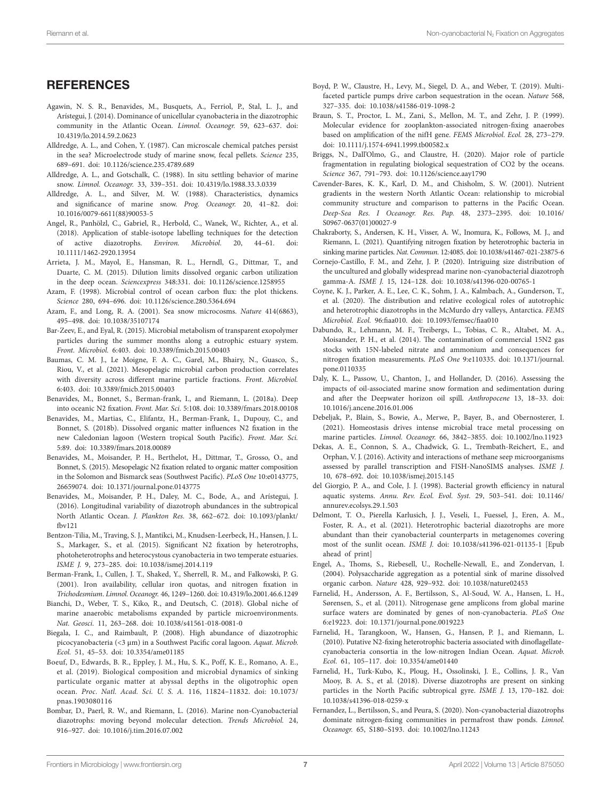# **REFERENCES**

- <span id="page-6-36"></span>Agawin, N. S. R., Benavides, M., Busquets, A., Ferriol, P., Stal, L. J., and Arístegui, J. (2014). Dominance of unicellular cyanobacteria in the diazotrophic community in the Atlantic Ocean. *Limnol. Oceanogr.* 59, 623–637. doi: [10.4319/lo.2014.59.2.0623](https://doi.org/10.4319/lo.2014.59.2.0623)
- <span id="page-6-23"></span>Alldredge, A. L., and Cohen, Y. (1987). Can microscale chemical patches persist in the sea? Microelectrode study of marine snow, fecal pellets. *Science* 235, 689–691. doi: [10.1126/science.235.4789.689](https://doi.org/10.1126/science.235.4789.689)
- <span id="page-6-11"></span>Alldredge, A. L., and Gotschalk, C. (1988). In situ settling behavior of marine snow. *Limnol. Oceanogr.* 33, 339–351. doi: [10.4319/lo.1988.33.3.0339](https://doi.org/10.4319/lo.1988.33.3.0339)
- <span id="page-6-28"></span>Alldredge, A. L., and Silver, M. W. (1988). Characteristics, dynamics and significance of marine snow. *Prog. Oceanogr.* 20, 41–82. doi: [10.1016/0079-6611\(88\)90053-5](https://doi.org/10.1016/0079-6611(88)90053-5)
- <span id="page-6-30"></span>Angel, R., Panhölzl, C., Gabriel, R., Herbold, C., Wanek, W., Richter, A., et al. (2018). Application of stable-isotope labelling techniques for the detection of active diazotrophs. *Environ. Microbiol.* 20, 44–61. doi: [10.1111/1462-2920.13954](https://doi.org/10.1111/1462-2920.13954)
- <span id="page-6-6"></span>Arrieta, J. M., Mayol, E., Hansman, R. L., Herndl, G., Dittmar, T., and Duarte, C. M. (2015). Dilution limits dissolved organic carbon utilization in the deep ocean. *Sciencexpress* 348:331. doi: [10.1126/science.1258955](https://doi.org/10.1126/science.1258955)
- <span id="page-6-8"></span>Azam, F. (1998). Microbial control of ocean carbon flux: the plot thickens. *Science* 280, 694–696. doi: [10.1126/science.280.5364.694](https://doi.org/10.1126/science.280.5364.694)
- <span id="page-6-15"></span>Azam, F., and Long, R. A. (2001). Sea snow microcosms. *Nature* 414(6863), 495–498. doi: [10.1038/35107174](https://doi.org/10.1038/35107174)
- <span id="page-6-14"></span>Bar-Zeev, E., and Eyal, R. (2015). Microbial metabolism of transparent exopolymer particles during the summer months along a eutrophic estuary system. *Front. Microbiol.* 6:403. doi: [10.3389/fmicb.2015.00403](https://doi.org/10.3389/fmicb.2015.00403)
- <span id="page-6-32"></span>Baumas, C. M. J., Le Moigne, F. A. C., Garel, M., Bhairy, N., Guasco, S., Riou, V., et al. (2021). Mesopelagic microbial carbon production correlates with diversity across different marine particle fractions. *Front. Microbiol.* 6:403. doi: [10.3389/fmicb.2015.00403](https://doi.org/10.3389/fmicb.2015.00403)
- <span id="page-6-5"></span>Benavides, M., Bonnet, S., Berman-frank, I., and Riemann, L. (2018a). Deep into oceanic N2 fixation. *Front. Mar. Sci.* 5:108. doi: [10.3389/fmars.2018.00108](https://doi.org/10.3389/fmars.2018.00108)
- <span id="page-6-3"></span>Benavides, M., Martias, C., Elifantz, H., Berman-Frank, I., Dupouy, C., and Bonnet, S. (2018b). Dissolved organic matter influences N2 fixation in the new Caledonian lagoon (Western tropical South Pacific). *Front. Mar. Sci.* 5:89. doi: [10.3389/fmars.2018.00089](https://doi.org/10.3389/fmars.2018.00089)
- <span id="page-6-2"></span>Benavides, M., Moisander, P. H., Berthelot, H., Dittmar, T., Grosso, O., and Bonnet, S. (2015). Mesopelagic N2 fixation related to organic matter composition in the Solomon and Bismarck seas (Southwest Pacific). *PLoS One* 10:e0143775, 26659074. doi: [10.1371/journal.pone.0143775](https://doi.org/10.1371/journal.pone.0143775)
- <span id="page-6-20"></span>Benavides, M., Moisander, P. H., Daley, M. C., Bode, A., and Arístegui, J. (2016). Longitudinal variability of diazotroph abundances in the subtropical North Atlantic Ocean. *J. Plankton Res.* 38, 662–672. doi: [10.1093/plankt/](https://doi.org/10.1093/plankt/fbv121) [fbv121](https://doi.org/10.1093/plankt/fbv121)
- <span id="page-6-1"></span>Bentzon-Tilia, M., Traving, S. J., Mantikci, M., Knudsen-Leerbeck, H., Hansen, J. L. S., Markager, S., et al. (2015). Significant N2 fixation by heterotrophs, photoheterotrophs and heterocystous cyanobacteria in two temperate estuaries. *ISME J.* 9, 273–285. doi: [10.1038/ismej.2014.119](https://doi.org/10.1038/ismej.2014.119)
- <span id="page-6-24"></span>Berman-Frank, I., Cullen, J. T., Shaked, Y., Sherrell, R. M., and Falkowski, P. G. (2001). Iron availability, cellular iron quotas, and nitrogen fixation in *Trichodesmium*. *Limnol. Oceanogr.* 46, 1249–1260. doi: [10.4319/lo.2001.46.6.1249](https://doi.org/10.4319/lo.2001.46.6.1249)
- <span id="page-6-27"></span>Bianchi, D., Weber, T. S., Kiko, R., and Deutsch, C. (2018). Global niche of marine anaerobic metabolisms expanded by particle microenvironments. *Nat. Geosci.* 11, 263–268. doi: [10.1038/s41561-018-0081-0](https://doi.org/10.1038/s41561-018-0081-0)
- <span id="page-6-35"></span>Biegala, I. C., and Raimbault, P. (2008). High abundance of diazotrophic picocyanobacteria (<3 μm) in a Southwest Pacific coral lagoon. *Aquat. Microb. Ecol.* 51, 45–53. doi: [10.3354/ame01185](https://doi.org/10.3354/ame01185)
- <span id="page-6-31"></span>Boeuf, D., Edwards, B. R., Eppley, J. M., Hu, S. K., Poff, K. E., Romano, A. E., et al. (2019). Biological composition and microbial dynamics of sinking particulate organic matter at abyssal depths in the oligotrophic open ocean. *Proc. Natl. Acad. Sci. U. S. A.* 116, 11824–11832. doi: [10.1073/](https://doi.org/10.1073/pnas.1903080116) [pnas.1903080116](https://doi.org/10.1073/pnas.1903080116)
- <span id="page-6-4"></span>Bombar, D., Paerl, R. W., and Riemann, L. (2016). Marine non-Cyanobacterial diazotrophs: moving beyond molecular detection. *Trends Microbiol.* 24, 916–927. doi: [10.1016/j.tim.2016.07.002](https://doi.org/10.1016/j.tim.2016.07.002)
- <span id="page-6-33"></span>Boyd, P. W., Claustre, H., Levy, M., Siegel, D. A., and Weber, T. (2019). Multifaceted particle pumps drive carbon sequestration in the ocean. *Nature* 568, 327–335. doi: [10.1038/s41586-019-1098-2](https://doi.org/10.1038/s41586-019-1098-2)
- <span id="page-6-16"></span>Braun, S. T., Proctor, L. M., Zani, S., Mellon, M. T., and Zehr, J. P. (1999). Molecular evidence for zooplankton-associated nitrogen-fixing anaerobes based on amplification of the nifH gene. *FEMS Microbiol. Ecol.* 28, 273–279. doi: [10.1111/j.1574-6941.1999.tb00582.x](https://doi.org/10.1111/j.1574-6941.1999.tb00582.x)
- <span id="page-6-37"></span>Briggs, N., Dall'Olmo, G., and Claustre, H. (2020). Major role of particle fragmentation in regulating biological sequestration of CO2 by the oceans. *Science* 367, 791–793. doi: [10.1126/science.aay1790](https://doi.org/10.1126/science.aay1790)
- <span id="page-6-7"></span>Cavender-Bares, K. K., Karl, D. M., and Chisholm, S. W. (2001). Nutrient gradients in the western North Atlantic Ocean: relationship to microbial community structure and comparison to patterns in the Pacific Ocean. *Deep-Sea Res. I Oceanogr. Res. Pap.* 48, 2373–2395. doi: [10.1016/](https://doi.org/10.1016/S0967-0637(01)00027-9) [S0967-0637\(01\)00027-9](https://doi.org/10.1016/S0967-0637(01)00027-9)
- <span id="page-6-26"></span>Chakraborty, S., Andersen, K. H., Visser, A. W., Inomura, K., Follows, M. J., and Riemann, L. (2021). Quantifying nitrogen fixation by heterotrophic bacteria in sinking marine particles. *Nat. Commun.* 12:4085. doi: [10.1038/s41467-021-23875-6](https://doi.org/10.1038/s41467-021-23875-6)
- <span id="page-6-21"></span>Cornejo-Castillo, F. M., and Zehr, J. P. (2020). Intriguing size distribution of the uncultured and globally widespread marine non-cyanobacterial diazotroph gamma-A. *ISME J.* 15, 124–128. doi: [10.1038/s41396-020-00765-1](https://doi.org/10.1038/s41396-020-00765-1)
- <span id="page-6-9"></span>Coyne, K. J., Parker, A. E., Lee, C. K., Sohm, J. A., Kalmbach, A., Gunderson, T., et al. (2020). The distribution and relative ecological roles of autotrophic and heterotrophic diazotrophs in the McMurdo dry valleys, Antarctica. *FEMS Microbiol. Ecol.* 96:fiaa010. doi: [10.1093/femsec/fiaa010](https://doi.org/10.1093/femsec/fiaa010)
- <span id="page-6-29"></span>Dabundo, R., Lehmann, M. F., Treibergs, L., Tobias, C. R., Altabet, M. A., Moisander, P. H., et al. (2014). The contamination of commercial 15N2 gas stocks with 15N-labeled nitrate and ammonium and consequences for nitrogen fixation measurements. *PLoS One* 9:e110335. doi: [10.1371/journal.](https://doi.org/10.1371/journal.pone.0110335) [pone.0110335](https://doi.org/10.1371/journal.pone.0110335)
- <span id="page-6-12"></span>Daly, K. L., Passow, U., Chanton, J., and Hollander, D. (2016). Assessing the impacts of oil-associated marine snow formation and sedimentation during and after the Deepwater horizon oil spill. *Anthropocene* 13, 18–33. doi: [10.1016/j.ancene.2016.01.006](https://doi.org/10.1016/j.ancene.2016.01.006)
- <span id="page-6-22"></span>Debeljak, P., Blain, S., Bowie, A., Merwe, P., Bayer, B., and Obernosterer, I. (2021). Homeostasis drives intense microbial trace metal processing on marine particles. *Limnol. Oceanogr.* 66, 3842–3855. doi: [10.1002/lno.11923](https://doi.org/10.1002/lno.11923)
- <span id="page-6-34"></span>Dekas, A. E., Connon, S. A., Chadwick, G. L., Trembath-Reichert, E., and Orphan, V. J. (2016). Activity and interactions of methane seep microorganisms assessed by parallel transcription and FISH-NanoSIMS analyses. *ISME J.* 10, 678–692. doi: [10.1038/ismej.2015.145](https://doi.org/10.1038/ismej.2015.145)
- <span id="page-6-13"></span>del Giorgio, P. A., and Cole, J. J. (1998). Bacterial growth efficiency in natural aquatic systems. *Annu. Rev. Ecol. Evol. Syst.* 29, 503–541. doi: [10.1146/](https://doi.org/10.1146/annurev.ecolsys.29.1.503) [annurev.ecolsys.29.1.503](https://doi.org/10.1146/annurev.ecolsys.29.1.503)
- <span id="page-6-19"></span>Delmont, T. O., Pierella Karlusich, J. J., Veseli, I., Fuessel, J., Eren, A. M., Foster, R. A., et al. (2021). Heterotrophic bacterial diazotrophs are more abundant than their cyanobacterial counterparts in metagenomes covering most of the sunlit ocean. *ISME J.* doi: [10.1038/s41396-021-01135-1](https://doi.org/10.1038/s41396-021-01135-1) [Epub ahead of print]
- <span id="page-6-25"></span>Engel, A., Thoms, S., Riebesell, U., Rochelle-Newall, E., and Zondervan, I. (2004). Polysaccharide aggregation as a potential sink of marine dissolved organic carbon. *Nature* 428, 929–932. doi: [10.1038/nature02453](https://doi.org/10.1038/nature02453)
- <span id="page-6-0"></span>Farnelid, H., Andersson, A. F., Bertilsson, S., Al-Soud, W. A., Hansen, L. H., Sørensen, S., et al. (2011). Nitrogenase gene amplicons from global marine surface waters are dominated by genes of non-cyanobacteria. *PLoS One* 6:e19223. doi: [10.1371/journal.pone.0019223](https://doi.org/10.1371/journal.pone.0019223)
- <span id="page-6-17"></span>Farnelid, H., Tarangkoon, W., Hansen, G., Hansen, P. J., and Riemann, L. (2010). Putative N2-fixing heterotrophic bacteria associated with dinoflagellatecyanobacteria consortia in the low-nitrogen Indian Ocean. *Aquat. Microb. Ecol.* 61, 105–117. doi: [10.3354/ame01440](https://doi.org/10.3354/ame01440)
- <span id="page-6-18"></span>Farnelid, H., Turk-Kubo, K., Ploug, H., Ossolinski, J. E., Collins, J. R., Van Mooy, B. A. S., et al. (2018). Diverse diazotrophs are present on sinking particles in the North Pacific subtropical gyre. *ISME J.* 13, 170–182. doi: [10.1038/s41396-018-0259-x](https://doi.org/10.1038/s41396-018-0259-x)
- <span id="page-6-10"></span>Fernandez, L., Bertilsson, S., and Peura, S. (2020). Non-cyanobacterial diazotrophs dominate nitrogen-fixing communities in permafrost thaw ponds. *Limnol. Oceanogr.* 65, S180–S193. doi: [10.1002/lno.11243](https://doi.org/10.1002/lno.11243)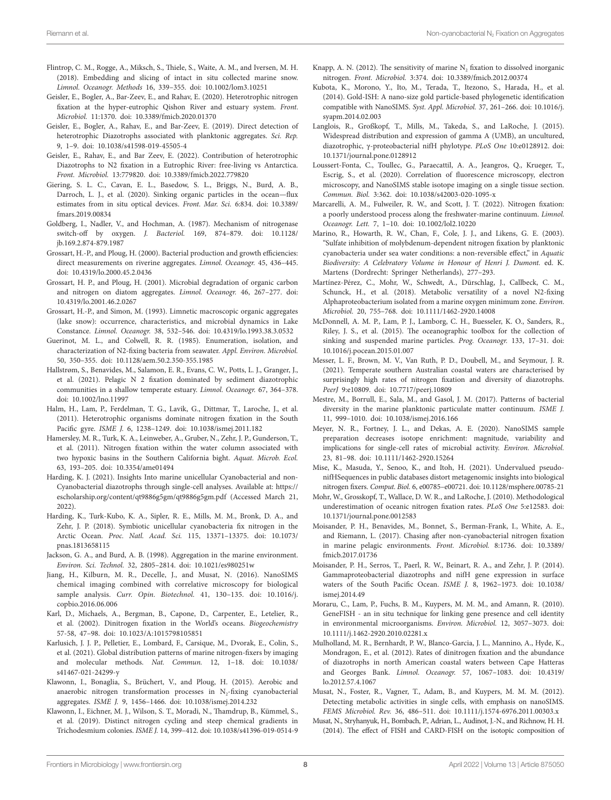- <span id="page-7-33"></span>Flintrop, C. M., Rogge, A., Miksch, S., Thiele, S., Waite, A. M., and Iversen, M. H. (2018). Embedding and slicing of intact in situ collected marine snow. *Limnol. Oceanogr. Methods* 16, 339–355. doi: [10.1002/lom3.10251](https://doi.org/10.1002/lom3.10251)
- <span id="page-7-2"></span>Geisler, E., Bogler, A., Bar-Zeev, E., and Rahav, E. (2020). Heterotrophic nitrogen fixation at the hyper-eutrophic Qishon River and estuary system. *Front. Microbiol.* 11:1370. doi: [10.3389/fmicb.2020.01370](https://doi.org/10.3389/fmicb.2020.01370)
- <span id="page-7-10"></span>Geisler, E., Bogler, A., Rahav, E., and Bar-Zeev, E. (2019). Direct detection of heterotrophic Diazotrophs associated with planktonic aggregates. *Sci. Rep.* 9, 1–9. doi: [10.1038/s41598-019-45505-4](https://doi.org/10.1038/s41598-019-45505-4)
- <span id="page-7-24"></span>Geisler, E., Rahav, E., and Bar Zeev, E. (2022). Contribution of heterotrophic Diazotrophs to N2 fixation in a Eutrophic River: free-living vs Antarctica. *Front. Microbiol.* 13:779820. doi: [10.3389/fmicb.2022.779820](https://doi.org/10.3389/fmicb.2022.779820)
- <span id="page-7-38"></span>Giering, S. L. C., Cavan, E. L., Basedow, S. L., Briggs, N., Burd, A. B., Darroch, L. J., et al. (2020). Sinking organic particles in the ocean—flux estimates from in situ optical devices. *Front. Mar. Sci.* 6:834. doi: [10.3389/](https://doi.org/10.3389/fmars.2019.00834) [fmars.2019.00834](https://doi.org/10.3389/fmars.2019.00834)
- <span id="page-7-17"></span>Goldberg, I., Nadler, V., and Hochman, A. (1987). Mechanism of nitrogenase switch-off by oxygen. *J. Bacteriol.* 169, 874–879. doi: [10.1128/](https://doi.org/10.1128/jb.169.2.874-879.1987) [jb.169.2.874-879.1987](https://doi.org/10.1128/jb.169.2.874-879.1987)
- <span id="page-7-14"></span>Grossart, H.-P., and Ploug, H. (2000). Bacterial production and growth efficiencies: direct measurements on riverine aggregates. *Limnol. Oceanogr.* 45, 436–445. doi: [10.4319/lo.2000.45.2.0436](https://doi.org/10.4319/lo.2000.45.2.0436)
- <span id="page-7-25"></span>Grossart, H. P., and Ploug, H. (2001). Microbial degradation of organic carbon and nitrogen on diatom aggregates. *Limnol. Oceanogr.* 46, 267–277. doi: [10.4319/lo.2001.46.2.0267](https://doi.org/10.4319/lo.2001.46.2.0267)
- <span id="page-7-23"></span>Grossart, H.-P., and Simon, M. (1993). Limnetic macroscopic organic aggregates (lake snow): occurrence, characteristics, and microbial dynamics in Lake Constance. *Limnol. Oceanogr.* 38, 532–546. doi: [10.4319/lo.1993.38.3.0532](https://doi.org/10.4319/lo.1993.38.3.0532)
- <span id="page-7-16"></span>Guerinot, M. L., and Colwell, R. R. (1985). Enumeration, isolation, and characterization of N2-fixing bacteria from seawater. *Appl. Environ. Microbiol.* 50, 350–355. doi: [10.1128/aem.50.2.350-355.1985](https://doi.org/10.1128/aem.50.2.350-355.1985)
- <span id="page-7-3"></span>Hallstrøm, S., Benavides, M., Salamon, E. R., Evans, C. W., Potts, L. J., Granger, J., et al. (2021). Pelagic N 2 fixation dominated by sediment diazotrophic communities in a shallow temperate estuary. *Limnol. Oceanogr.* 67, 364–378. doi: [10.1002/lno.11997](https://doi.org/10.1002/lno.11997)
- <span id="page-7-5"></span>Halm, H., Lam, P., Ferdelman, T. G., Lavik, G., Dittmar, T., Laroche, J., et al. (2011). Heterotrophic organisms dominate nitrogen fixation in the South Pacific gyre. *ISME J.* 6, 1238–1249. doi: [10.1038/ismej.2011.182](https://doi.org/10.1038/ismej.2011.182)
- <span id="page-7-11"></span>Hamersley, M. R., Turk, K. A., Leinweber, A., Gruber, N., Zehr, J. P., Gunderson, T., et al. (2011). Nitrogen fixation within the water column associated with two hypoxic basins in the Southern California bight. *Aquat. Microb. Ecol.* 63, 193–205. doi: [10.3354/ame01494](https://doi.org/10.3354/ame01494)
- <span id="page-7-35"></span>Harding, K. J. (2021). Insights Into marine unicellular Cyanobacterial and non-Cyanobacterial diazotrophs through single-cell analyses. Available at: [https://](https://escholarship.org/content/qt9886g5gm/qt9886g5gm.pdf) [escholarship.org/content/qt9886g5gm/qt9886g5gm.pdf](https://escholarship.org/content/qt9886g5gm/qt9886g5gm.pdf) (Accessed March 21, 2022).
- <span id="page-7-8"></span>Harding, K., Turk-Kubo, K. A., Sipler, R. E., Mills, M. M., Bronk, D. A., and Zehr, J. P. (2018). Symbiotic unicellular cyanobacteria fix nitrogen in the Arctic Ocean. *Proc. Natl. Acad. Sci.* 115, 13371–13375. doi: [10.1073/](https://doi.org/10.1073/pnas.1813658115) [pnas.1813658115](https://doi.org/10.1073/pnas.1813658115)
- <span id="page-7-20"></span>Jackson, G. A., and Burd, A. B. (1998). Aggregation in the marine environment. *Environ. Sci. Technol.* 32, 2805–2814. doi: [10.1021/es980251w](https://doi.org/10.1021/es980251w)
- <span id="page-7-32"></span>Jiang, H., Kilburn, M. R., Decelle, J., and Musat, N. (2016). NanoSIMS chemical imaging combined with correlative microscopy for biological sample analysis. *Curr. Opin. Biotechnol.* 41, 130–135. doi: [10.1016/j.](https://doi.org/10.1016/j.copbio.2016.06.006) [copbio.2016.06.006](https://doi.org/10.1016/j.copbio.2016.06.006)
- <span id="page-7-0"></span>Karl, D., Michaels, A., Bergman, B., Capone, D., Carpenter, E., Letelier, R., et al. (2002). Dinitrogen fixation in the World's oceans. *Biogeochemistry* 57-58, 47–98. doi: [10.1023/A:1015798105851](https://doi.org/10.1023/A:1015798105851)
- <span id="page-7-15"></span>Karlusich, J. J. P., Pelletier, E., Lombard, F., Carsique, M., Dvorak, E., Colin, S., et al. (2021). Global distribution patterns of marine nitrogen-fixers by imaging and molecular methods. *Nat. Commun.* 12, 1–18. doi: [10.1038/](https://doi.org/10.1038/s41467-021-24299-y) [s41467-021-24299-y](https://doi.org/10.1038/s41467-021-24299-y)
- <span id="page-7-18"></span>Klawonn, I., Bonaglia, S., Brüchert, V., and Ploug, H. (2015). Aerobic and anaerobic nitrogen transformation processes in  $N_2$ -fixing cyanobacterial aggregates. *ISME J.* 9, 1456–1466. doi: [10.1038/ismej.2014.232](https://doi.org/10.1038/ismej.2014.232)
- <span id="page-7-22"></span>Klawonn, I., Eichner, M. J., Wilson, S. T., Moradi, N., Thamdrup, B., Kümmel, S., et al. (2019). Distinct nitrogen cycling and steep chemical gradients in Trichodesmium colonies. *ISME J.* 14, 399–412. doi: [10.1038/s41396-019-0514-9](https://doi.org/10.1038/s41396-019-0514-9)
- <span id="page-7-26"></span>Knapp, A. N. (2012). The sensitivity of marine  $N_2$  fixation to dissolved inorganic nitrogen. *Front. Microbiol.* 3:374. doi: [10.3389/fmicb.2012.00374](https://doi.org/10.3389/fmicb.2012.00374)
- <span id="page-7-31"></span>Kubota, K., Morono, Y., Ito, M., Terada, T., Itezono, S., Harada, H., et al. (2014). Gold-ISH: A nano-size gold particle-based phylogenetic identification compatible with NanoSIMS. *Syst. Appl. Microbiol.* 37, 261–266. doi: [10.1016/j.](https://doi.org/10.1016/j.syapm.2014.02.003) [syapm.2014.02.003](https://doi.org/10.1016/j.syapm.2014.02.003)
- <span id="page-7-1"></span>Langlois, R., Großkopf, T., Mills, M., Takeda, S., and LaRoche, J. (2015). Widespread distribution and expression of gamma A (UMB), an uncultured, diazotrophic, γ-proteobacterial nifH phylotype. *PLoS One* 10:e0128912. doi: [10.1371/journal.pone.0128912](https://doi.org/10.1371/journal.pone.0128912)
- <span id="page-7-39"></span>Loussert-Fonta, C., Toullec, G., Paraecattil, A. A., Jeangros, Q., Krueger, T., Escrig, S., et al. (2020). Correlation of fluorescence microscopy, electron microscopy, and NanoSIMS stable isotope imaging on a single tissue section. *Commun. Biol.* 3:362. doi: [10.1038/s42003-020-1095-x](https://doi.org/10.1038/s42003-020-1095-x)
- <span id="page-7-13"></span>Marcarelli, A. M., Fulweiler, R. W., and Scott, J. T. (2022). Nitrogen fixation: a poorly understood process along the freshwater-marine continuum. *Limnol. Oceanogr. Lett.* 7, 1–10. doi: [10.1002/lol2.10220](https://doi.org/10.1002/lol2.10220)
- <span id="page-7-19"></span>Marino, R., Howarth, R. W., Chan, F., Cole, J. J., and Likens, G. E. (2003). "Sulfate inhibition of molybdenum-dependent nitrogen fixation by planktonic cyanobacteria under sea water conditions: a non-reversible effect," in *Aquatic Biodiversity: A Celebratory Volume in Honour of Henri J. Dumont.* ed. K. Martens (Dordrecht: Springer Netherlands), 277–293.
- <span id="page-7-21"></span>Martínez-Pérez, C., Mohr, W., Schwedt, A., Dürschlag, J., Callbeck, C. M., Schunck, H., et al. (2018). Metabolic versatility of a novel N2-fixing Alphaproteobacterium isolated from a marine oxygen minimum zone. *Environ. Microbiol.* 20, 755–768. doi: [10.1111/1462-2920.14008](https://doi.org/10.1111/1462-2920.14008)
- <span id="page-7-37"></span>McDonnell, A. M. P., Lam, P. J., Lamborg, C. H., Buesseler, K. O., Sanders, R., Riley, J. S., et al. (2015). The oceanographic toolbox for the collection of sinking and suspended marine particles. *Prog. Oceanogr.* 133, 17–31. doi: [10.1016/j.pocean.2015.01.007](https://doi.org/10.1016/j.pocean.2015.01.007)
- <span id="page-7-4"></span>Messer, L. F., Brown, M. V., Van Ruth, P. D., Doubell, M., and Seymour, J. R. (2021). Temperate southern Australian coastal waters are characterised by surprisingly high rates of nitrogen fixation and diversity of diazotrophs. *PeerJ* 9:e10809. doi: [10.7717/peerj.10809](https://doi.org/10.7717/peerj.10809)
- <span id="page-7-36"></span>Mestre, M., Borrull, E., Sala, M., and Gasol, J. M. (2017). Patterns of bacterial diversity in the marine planktonic particulate matter continuum. *ISME J.* 11, 999–1010. doi: [10.1038/ismej.2016.166](https://doi.org/10.1038/ismej.2016.166)
- <span id="page-7-30"></span>Meyer, N. R., Fortney, J. L., and Dekas, A. E. (2020). NanoSIMS sample preparation decreases isotope enrichment: magnitude, variability and implications for single-cell rates of microbial activity. *Environ. Microbiol.* 23, 81–98. doi: [10.1111/1462-2920.15264](https://doi.org/10.1111/1462-2920.15264)
- <span id="page-7-9"></span>Mise, K., Masuda, Y., Senoo, K., and Itoh, H. (2021). Undervalued pseudonifHSequences in public databases distort metagenomic insights into biological nitrogen fixers. *Comput. Biol.* 6, e00785–e00721. doi: [10.1128/msphere.00785-21](https://doi.org/10.1128/msphere.00785-21)
- <span id="page-7-27"></span>Mohr, W., Grosskopf, T., Wallace, D. W. R., and LaRoche, J. (2010). Methodological underestimation of oceanic nitrogen fixation rates. *PLoS One* 5:e12583. doi: [10.1371/journal.pone.0012583](https://doi.org/10.1371/journal.pone.0012583)
- <span id="page-7-12"></span>Moisander, P. H., Benavides, M., Bonnet, S., Berman-Frank, I., White, A. E., and Riemann, L. (2017). Chasing after non-cyanobacterial nitrogen fixation in marine pelagic environments. *Front. Microbiol.* 8:1736. doi: [10.3389/](https://doi.org/10.3389/fmicb.2017.01736) [fmicb.2017.01736](https://doi.org/10.3389/fmicb.2017.01736)
- <span id="page-7-6"></span>Moisander, P. H., Serros, T., Paerl, R. W., Beinart, R. A., and Zehr, J. P. (2014). Gammaproteobacterial diazotrophs and nifH gene expression in surface waters of the South Pacific Ocean. *ISME J.* 8, 1962–1973. doi: [10.1038/](https://doi.org/10.1038/ismej.2014.49) [ismej.2014.49](https://doi.org/10.1038/ismej.2014.49)
- <span id="page-7-34"></span>Moraru, C., Lam, P., Fuchs, B. M., Kuypers, M. M. M., and Amann, R. (2010). GeneFISH - an in situ technique for linking gene presence and cell identity in environmental microorganisms. *Environ. Microbiol.* 12, 3057–3073. doi: [10.1111/j.1462-2920.2010.02281.x](https://doi.org/10.1111/j.1462-2920.2010.02281.x)
- <span id="page-7-7"></span>Mulholland, M. R., Bernhardt, P. W., Blanco-Garcia, J. L., Mannino, A., Hyde, K., Mondragon, E., et al. (2012). Rates of dinitrogen fixation and the abundance of diazotrophs in north American coastal waters between Cape Hatteras and Georges Bank. *Limnol. Oceanogr.* 57, 1067–1083. doi: [10.4319/](https://doi.org/10.4319/lo.2012.57.4.1067) [lo.2012.57.4.1067](https://doi.org/10.4319/lo.2012.57.4.1067)
- <span id="page-7-28"></span>Musat, N., Foster, R., Vagner, T., Adam, B., and Kuypers, M. M. M. (2012). Detecting metabolic activities in single cells, with emphasis on nanoSIMS. *FEMS Microbiol. Rev.* 36, 486–511. doi: [10.1111/j.1574-6976.2011.00303.x](https://doi.org/10.1111/j.1574-6976.2011.00303.x)
- <span id="page-7-29"></span>Musat, N., Stryhanyuk, H., Bombach, P., Adrian, L., Audinot, J.-N., and Richnow, H. H. (2014). The effect of FISH and CARD-FISH on the isotopic composition of